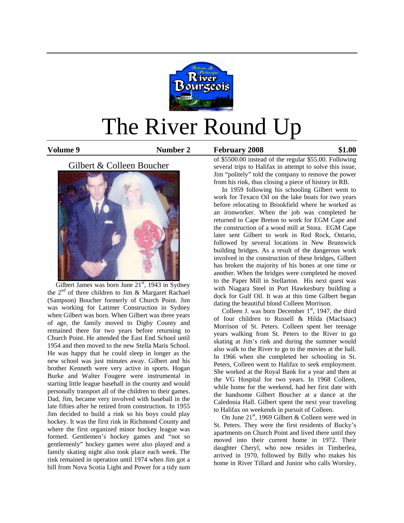

# The River Round Up

Volume 9 **Number 2** February 2008 \$1.00

# Gilbert & Colleen Boucher



Gilbert James was born June  $21<sup>st</sup>$ , 1943 in Sydney the  $2<sup>nd</sup>$  of three children to Jim & Margaret Rachael (Sampson) Boucher formerly of Church Point. Jim was working for Latimer Construction in Sydney when Gilbert was born. When Gilbert was three years of age, the family moved to Digby County and remained there for two years before returning to Church Point. He attended the East End School until 1954 and then moved to the new Stella Maris School. He was happy that he could sleep in longer as the new school was just minutes away. Gilbert and his brother Kenneth were very active in sports. Hogan Burke and Walter Fougere were instrumental in starting little league baseball in the county and would personally transport all of the children to their games. Dad, Jim, became very involved with baseball in the late fifties after he retired from construction. In 1955 Jim decided to build a rink so his boys could play hockey. It was the first rink in Richmond County and where the first organized minor hockey league was formed. Gentlemen's hockey games and "not so gentlemenly" hockey games were also played and a family skating night also took place each week. The rink remained in operation until 1974 when Jim got a bill from Nova Scotia Light and Power for a tidy sum of \$5500.00 instead of the regular \$55.00. Following several trips to Halifax in attempt to solve this issue, Jim "politely" told the company to remove the power from his rink, thus closing a piece of history in RB.

 In 1959 following his schooling Gilbert went to work for Texaco Oil on the lake boats for two years before relocating to Brookfield where he worked as an ironworker. When the job was completed he returned to Cape Breton to work for EGM Cape and the construction of a wood mill at Stora. EGM Cape later sent Gilbert to work in Red Rock, Ontario, followed by several locations in New Brunswick building bridges. As a result of the dangerous work involved in the construction of these bridges, Gilbert has broken the majority of his bones at one time or another. When the bridges were completed he moved to the Paper Mill in Stellarton. His next quest was with Niagara Steel in Port Hawkesbury building a dock for Gulf Oil. It was at this time Gilbert began dating the beautiful blond Colleen Morrison.

Colleen J. was born December  $1<sup>st</sup>$ , 1947, the third of four children to Russell & Hilda (MacIsaac) Morrison of St. Peters. Colleen spent her teenage years walking from St. Peters to the River to go skating at Jim's rink and during the summer would also walk to the River to go to the movies at the hall. In 1966 when she completed her schooling in St. Peters, Colleen went to Halifax to seek employment. She worked at the Royal Bank for a year and then at the VG Hospital for two years. In 1968 Colleen, while home for the weekend, had her first date with the handsome Gilbert Boucher at a dance at the Caledonia Hall. Gilbert spent the next year traveling to Halifax on weekends in pursuit of Colleen.

On June  $21^{st}$ , 1969 Gilbert & Colleen were wed in St. Peters. They were the first residents of Bucky's apartments on Church Point and lived there until they moved into their current home in 1972. Their daughter Cheryl, who now resides in Timberlea, arrived in 1970, followed by Billy who makes his home in River Tillard and Junior who calls Worsley,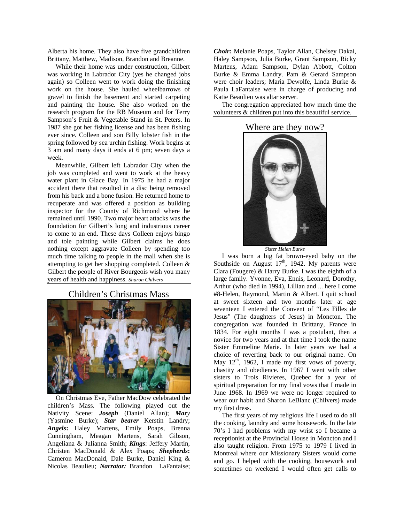Alberta his home. They also have five grandchildren Brittany, Matthew, Madison, Brandon and Breanne.

 While their home was under construction, Gilbert was working in Labrador City (yes he changed jobs again) so Colleen went to work doing the finishing work on the house. She hauled wheelbarrows of gravel to finish the basement and started carpeting and painting the house. She also worked on the research program for the RB Museum and for Terry Sampson's Fruit & Vegetable Stand in St. Peters. In 1987 she got her fishing license and has been fishing ever since. Colleen and son Billy lobster fish in the spring followed by sea urchin fishing. Work begins at 3 am and many days it ends at 6 pm; seven days a week.

 Meanwhile, Gilbert left Labrador City when the job was completed and went to work at the heavy water plant in Glace Bay. In 1975 he had a major accident there that resulted in a disc being removed from his back and a bone fusion. He returned home to recuperate and was offered a position as building inspector for the County of Richmond where he remained until 1990. Two major heart attacks was the foundation for Gilbert's long and industrious career to come to an end. These days Colleen enjoys bingo and tole painting while Gilbert claims he does nothing except aggravate Colleen by spending too much time talking to people in the mall when she is attempting to get her shopping completed. Colleen & Gilbert the people of River Bourgeois wish you many years of health and happiness. *Sharon Chilvers* 

Children's Christmas Mass



 On Christmas Eve, Father MacDow celebrated the children's Mass. The following played out the Nativity Scene: *Joseph* (Daniel Allan); *Mary* (Yasmine Burke); *Star bearer* Kerstin Landry; *Angels***:** Haley Martens, Emily Poaps, Brenna Cunningham, Meagan Martens, Sarah Gibson, Angeliana & Julianna Smith; *Kings*: Jeffery Martin, Christen MacDonald & Alex Poaps; *Shepherds***:** Cameron MacDonald, Dale Burke, Daniel King & Nicolas Beaulieu; *Narrator:* Brandon LaFantaise;

*Choir:* Melanie Poaps, Taylor Allan, Chelsey Dakai, Haley Sampson, Julia Burke, Grant Sampson, Ricky Martens, Adam Sampson, Dylan Abbott, Colton Burke & Emma Landry. Pam & Gerard Sampson were choir leaders; Maria Dewolfe, Linda Burke & Paula LaFantaise were in charge of producing and Katie Beaulieu was altar server.

 The congregation appreciated how much time the volunteers & children put into this beautiful service.

#### Where are they now?



*Sister Helen Burke* 

 I was born a big fat brown-eyed baby on the Southside on August  $17<sup>th</sup>$ , 1942. My parents were Clara (Fougere) & Harry Burke. I was the eighth of a large family. Yvonne, Eva, Ennis, Leonard, Dorothy, Arthur (who died in 1994), Lillian and ... here I come #8-Helen, Raymond, Martin & Albert. I quit school at sweet sixteen and two months later at age seventeen I entered the Convent of "Les Filles de Jesus" (The daughters of Jesus) in Moncton. The congregation was founded in Brittany, France in 1834. For eight months I was a postulant, then a novice for two years and at that time I took the name Sister Emmeline Marie. In later years we had a choice of reverting back to our original name. On May  $12<sup>th</sup>$ , 1962, I made my first vows of poverty, chastity and obedience. In 1967 I went with other sisters to Trois Rivieres, Quebec for a year of spiritual preparation for my final vows that I made in June 1968. In 1969 we were no longer required to wear our habit and Sharon LeBlanc (Chilvers) made my first dress.

 The first years of my religious life I used to do all the cooking, laundry and some housework. In the late 70's I had problems with my wrist so I became a receptionist at the Provincial House in Moncton and I also taught religion. From 1975 to 1979 I lived in Montreal where our Missionary Sisters would come and go. I helped with the cooking, housework and sometimes on weekend I would often get calls to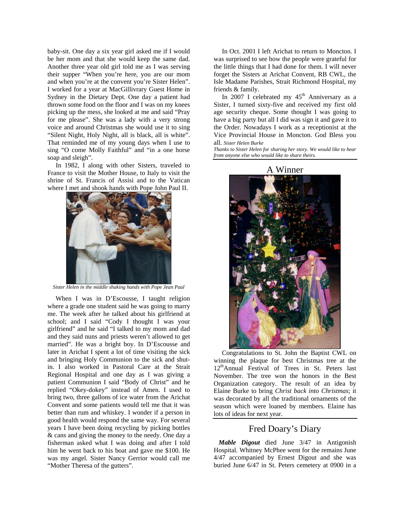baby-sit. One day a six year girl asked me if I would be her mom and that she would keep the same dad. Another three year old girl told me as I was serving their supper "When you're here, you are our mom and when you're at the convent you're Sister Helen". I worked for a year at MacGillivrary Guest Home in Sydney in the Dietary Dept. One day a patient had thrown some food on the floor and I was on my knees picking up the mess, she looked at me and said "Pray for me please". She was a lady with a very strong voice and around Christmas she would use it to sing "Silent Night, Holy Night, all is black, all is white". That reminded me of my young days when I use to sing "O come Molly Faithful" and "in a one horse soap and sleigh".

 In 1982, I along with other Sisters, traveled to France to visit the Mother House, to Italy to visit the shrine of St. Francis of Assisi and to the Vatican where I met and shook hands with Pope John Paul II.



*Sister Helen in the middle shaking hands with Pope Jean Paul* 

 When I was in D'Escousse, I taught religion where a grade one student said he was going to marry me. The week after he talked about his girlfriend at school; and I said "Cody I thought I was your girlfriend" and he said "I talked to my mom and dad and they said nuns and priests weren't allowed to get married". He was a bright boy. In D'Escousse and later in Arichat I spent a lot of time visiting the sick and bringing Holy Communion to the sick and shutin. I also worked in Pastoral Care at the Strait Regional Hospital and one day as I was giving a patient Communion I said "Body of Christ" and he replied "Okey-dokey" instead of Amen. I used to bring two, three gallons of ice water from the Arichat Convent and some patients would tell me that it was better than rum and whiskey. I wonder if a person in good health would respond the same way. For several years I have been doing recycling by picking bottles & cans and giving the money to the needy. One day a fisherman asked what I was doing and after I told him he went back to his boat and gave me \$100. He was my angel. Sister Nancy Gerrior would call me "Mother Theresa of the gutters".

 In Oct. 2001 I left Arichat to return to Moncton. I was surprised to see how the people were grateful for the little things that I had done for them. I will never forget the Sisters at Arichat Convent, RB CWL, the Isle Madame Parishes, Strait Richmond Hospital, my friends & family.

In 2007 I celebrated my  $45<sup>th</sup>$  Anniversary as a Sister, I turned sixty-five and received my first old age security cheque. Some thought I was going to have a big party but all I did was sign it and gave it to the Order. Nowadays I work as a receptionist at the Vice Provincial House in Moncton. God Bless you all. *Sister Helen Burke* 

*Thanks to Sister Helen for sharing her story. We would like to hear from anyone else who would like to share theirs.* 



 Congratulations to St. John the Baptist CWL on winning the plaque for best Christmas tree at the 12thAnnual Festival of Trees in St. Peters last November. The tree won the honors in the Best Organization category. The result of an idea by Elaine Burke to bring *Christ back into Christmas*; it was decorated by all the traditional ornaments of the season which were loaned by members. Elaine has lots of ideas for next year.

#### Fred Doary's Diary

 *Mable Digout* died June 3/47 in Antigonish Hospital. Whitney McPhee went for the remains June 4/47 accompanied by Ernest Digout and she was buried June 6/47 in St. Peters cemetery at 0900 in a